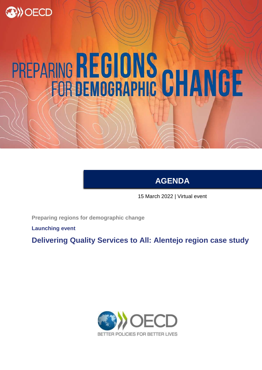

# PREPARING REGIONS CHANGE

**AGENDA**

15 March 2022 | Virtual event

**Preparing regions for demographic change**

**Launching event**

**Delivering Quality Services to All: Alentejo region case study**

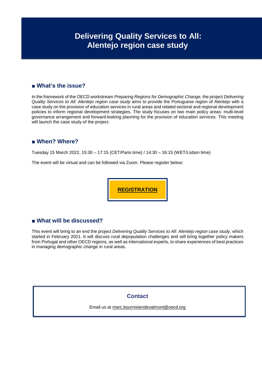## **Delivering Quality Services to All: Alentejo region case study**

### **■ What's the issue?**

In the framework of the OECD workstream *Preparing Regions for Demographic Change*, the project *Delivering Quality Services to All: Alentejo region case study* aims to provide the Portuguese region of Alentejo with a case study on the provision of education services in rural areas and related sectoral and regional development policies to inform regional development strategies. The study focuses on two main policy areas: multi-level governance arrangement and forward-looking planning for the provision of education services. This meeting will launch the case study of the project.

### **■ When? Where?**

Tuesday 15 March 2022, 15:30 – 17:15 (CET/Paris time) / 14:30 – 16:15 (WET/Lisbon time)

The event will be virtual and can be followed via Zoom. Please register below:

**[REGISTRATION](https://meetoecd1.zoom.us/webinar/register/WN_azZ_MLdKTVCNKtsFy_eP6Q)**

### **■ What will be discussed?**

This event will bring to an end the project *Delivering Quality Services to All: Alentejo region case study*, which started in February 2021. It will discuss rural depopulation challenges and will bring together policy makers from Portugal and other OECD regions, as well as international experts, to share experiences of best practices in managing demographic change in rural areas.

### **Contact**

Email us at [marc.bournisiendevalmont@oecd.org](mailto:marc.bournisiendevalmont@oecd.org)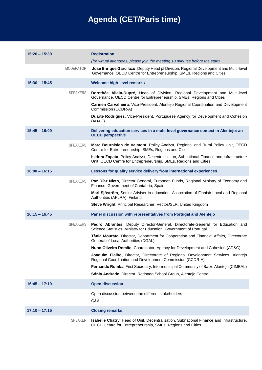# **Agenda (CET/Paris time)**

| $15:20 - 15:30$ |                  | <b>Registration</b><br>(for virtual attendees, please join the meeting 10 minutes before the start)                                                                                                                                                                                                                                                                                                                                                                                                                                                                                                                                                                                      |
|-----------------|------------------|------------------------------------------------------------------------------------------------------------------------------------------------------------------------------------------------------------------------------------------------------------------------------------------------------------------------------------------------------------------------------------------------------------------------------------------------------------------------------------------------------------------------------------------------------------------------------------------------------------------------------------------------------------------------------------------|
|                 | <b>MODERATOR</b> | Jose Enrique Garcilazo, Deputy Head pf Division, Regional Development and Multi-level<br>Governance, OECD Centre for Entrepreneurship, SMEs, Regions and Cities                                                                                                                                                                                                                                                                                                                                                                                                                                                                                                                          |
| $15:30 - 15:45$ |                  | <b>Welcome high-level remarks</b>                                                                                                                                                                                                                                                                                                                                                                                                                                                                                                                                                                                                                                                        |
|                 | <b>SPEAKERS</b>  | Dorothée Allain-Dupré, Head of Division, Regional Development and Multi-level<br>Governance, OECD Centre for Entrepreneurship, SMEs, Regions and Cities<br>Carmen Carvalheira, Vice-President, Alentejo Regional Coordination and Development<br>Commission (CCDR-A)<br>Duarte Rodrigues, Vice-President, Portuguese Agency for Development and Cohesion<br>(AD&C)                                                                                                                                                                                                                                                                                                                       |
| $15:45 - 16:00$ |                  | Delivering education services in a multi-level governance context in Alentejo: an<br><b>OECD perspective</b>                                                                                                                                                                                                                                                                                                                                                                                                                                                                                                                                                                             |
|                 | <b>SPEAKERS</b>  | Marc Bournisien de Valmont, Policy Analyst, Regional and Rural Policy Unit, OECD<br>Centre for Entrepreneurship, SMEs, Regions and Cities<br>Isidora Zapata, Policy Analyst, Decentralisation, Subnational Finance and Infrastructure<br>Unit, OECD Centre for Entrepreneurship, SMEs, Regions and Cities                                                                                                                                                                                                                                                                                                                                                                                |
| $16:00 - 16:15$ |                  | Lessons for quality service delivery from international experiences                                                                                                                                                                                                                                                                                                                                                                                                                                                                                                                                                                                                                      |
|                 | <b>SPEAKERS</b>  | Paz Díaz Nieto, Director General, European Funds, Regional Ministry of Economy and<br>Finance, Government of Cantabria, Spain<br>Mari Sjöström, Senior Adviser in education, Association of Finnish Local and Regional<br>Authorities (AFLRA), Finland<br>Steve Wright, Principal Researcher, Vectos/SLR, United Kingdom                                                                                                                                                                                                                                                                                                                                                                 |
| $16:15 - 16:45$ |                  | Panel discussion with representatives from Portugal and Alentejo                                                                                                                                                                                                                                                                                                                                                                                                                                                                                                                                                                                                                         |
|                 | <b>SPEAKERS</b>  | <b>Pedro Abrantes, Deputy Director-General, Directorate-General for Education and</b><br>Science Statistics, Ministry for Education, Government of Portugal<br>Tânia Mourato, Director, Department for Cooperation and Financial Affairs, Directorate<br>General of Local Authorities (DGAL)<br>Nuno Oliveira Romão, Coordinator, Agency for Development and Cohesion (AD&C)<br>Joaquim Fialho, Director, Directorate of Regional Development Services, Alentejo<br>Regional Coordination and Development Commission (CCDR-A)<br>Fernando Romba, First Secretary, Intermunicipal Community of Baixo Alentejo (CIMBAL)<br>Sónia Andrade, Director, Redondo School Group, Alentejo Central |
| $16:45 - 17:10$ |                  | <b>Open discussion</b>                                                                                                                                                                                                                                                                                                                                                                                                                                                                                                                                                                                                                                                                   |
|                 |                  | Open discussion between the different stakeholders<br>Q&A                                                                                                                                                                                                                                                                                                                                                                                                                                                                                                                                                                                                                                |
| $17:10 - 17:15$ |                  | <b>Closing remarks</b>                                                                                                                                                                                                                                                                                                                                                                                                                                                                                                                                                                                                                                                                   |
|                 | <b>SPEAKER</b>   | Isabelle Chatry, Head of Unit, Decentralisation, Subnational Finance and Infrastructure,<br>OECD Centre for Entrepreneurship, SMEs, Regions and Cities                                                                                                                                                                                                                                                                                                                                                                                                                                                                                                                                   |